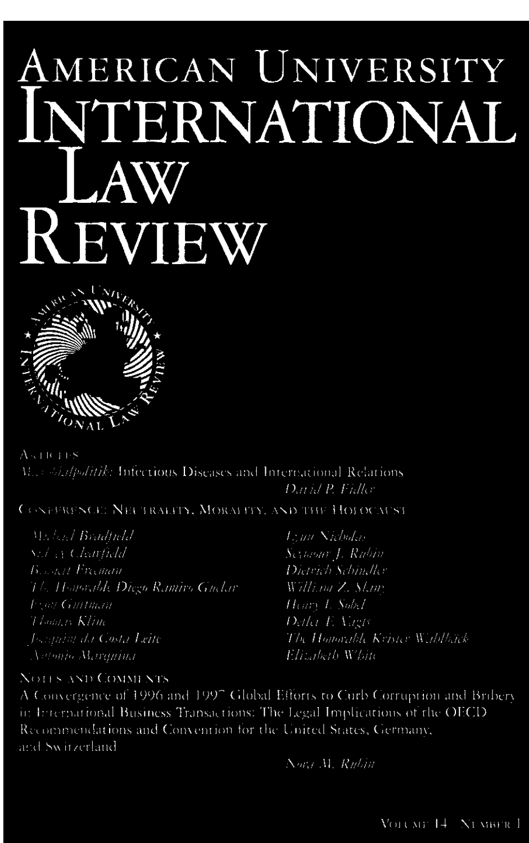## AMERICAN UNIVERSITY NTERNATIONAL AW **KEVIEW**



 $A \times 10.118$ M. A. A. Applitik: Infectious Diseases and International Relations Dath/ P. Fhller

**CONFERENCE: NEUTRALITY, MORALITY, AND THE HOLOCAUST** 

| - Maland Bradfield                       | T.; un Nicholas                |
|------------------------------------------|--------------------------------|
| $\langle Sz \rangle_{\rm 33}$ Clearfield | Seymour J. Rubin               |
| <b>Beacht Frieman</b>                    | Dhirich Schindler              |
| - The Honorable Diego Ramiro Guelar      | William Z. Slam                |
| <b>Pyon Guitman</b>                      | $H(m)$ L $Sobk$                |
| - Thomas Klim                            | Detha E. Vagis                 |
| Josephin da Costa Leite                  | The Honorable Krister Wablback |
| - Votabio Alemmine                       | The Aleth White                |

## **NOTES AND COMMENTS**

A Convergence of 1996 and 1997 Global Efforts to Curb Corruption and Bribery in International Business Transactions: The Legal Implications of the OECD Recommendations and Convention for the United States, Germany, and Switzerland

Norte M. Rubin

VOLUME 14 NUMBER 1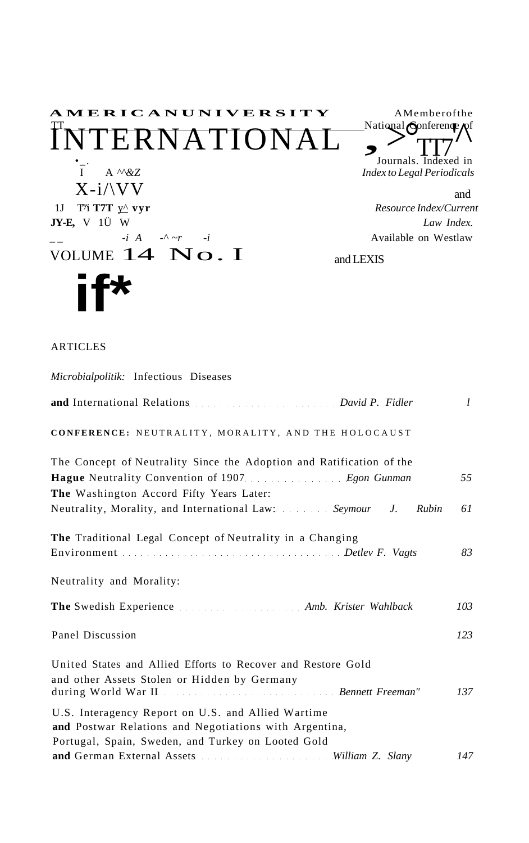

## **ARTICLES**

| Microbialpolitik: Infectious Diseases                                                                                                                              |           |
|--------------------------------------------------------------------------------------------------------------------------------------------------------------------|-----------|
|                                                                                                                                                                    | $l_{\rm}$ |
| CONFERENCE: NEUTRALITY, MORALITY, AND THE HOLOCAUST                                                                                                                |           |
| The Concept of Neutrality Since the Adoption and Ratification of the<br>The Washington Accord Fifty Years Later:                                                   | 55        |
| Neutrality, Morality, and International Law: Seymour<br>$J_{\cdot}$<br>Rubin                                                                                       | 61        |
| The Traditional Legal Concept of Neutrality in a Changing                                                                                                          | 83        |
| Neutrality and Morality:                                                                                                                                           |           |
|                                                                                                                                                                    | 103       |
| Panel Discussion                                                                                                                                                   | 123       |
| United States and Allied Efforts to Recover and Restore Gold<br>and other Assets Stolen or Hidden by Germany                                                       | 137       |
| U.S. Interagency Report on U.S. and Allied Wartime<br>and Postwar Relations and Negotiations with Argentina,<br>Portugal, Spain, Sweden, and Turkey on Looted Gold |           |
| and German External Assets Milliam Z. Slany                                                                                                                        | 147       |